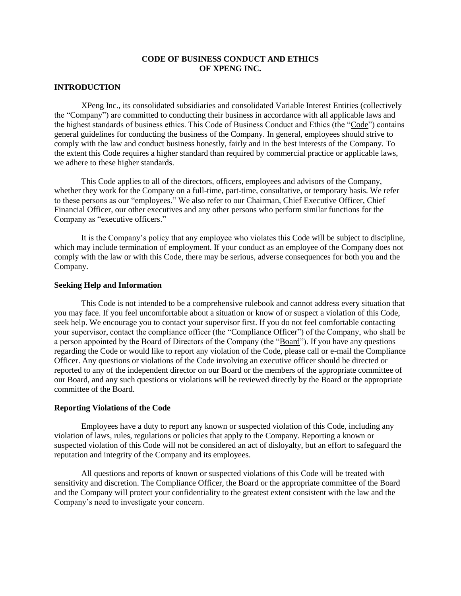### **CODE OF BUSINESS CONDUCT AND ETHICS OF XPENG INC.**

#### **INTRODUCTION**

XPeng Inc., its consolidated subsidiaries and consolidated Variable Interest Entities (collectively the "Company") are committed to conducting their business in accordance with all applicable laws and the highest standards of business ethics. This Code of Business Conduct and Ethics (the "Code") contains general guidelines for conducting the business of the Company. In general, employees should strive to comply with the law and conduct business honestly, fairly and in the best interests of the Company. To the extent this Code requires a higher standard than required by commercial practice or applicable laws, we adhere to these higher standards.

This Code applies to all of the directors, officers, employees and advisors of the Company, whether they work for the Company on a full-time, part-time, consultative, or temporary basis. We refer to these persons as our "employees." We also refer to our Chairman, Chief Executive Officer, Chief Financial Officer, our other executives and any other persons who perform similar functions for the Company as "executive officers."

It is the Company's policy that any employee who violates this Code will be subject to discipline, which may include termination of employment. If your conduct as an employee of the Company does not comply with the law or with this Code, there may be serious, adverse consequences for both you and the Company.

## **Seeking Help and Information**

This Code is not intended to be a comprehensive rulebook and cannot address every situation that you may face. If you feel uncomfortable about a situation or know of or suspect a violation of this Code, seek help. We encourage you to contact your supervisor first. If you do not feel comfortable contacting your supervisor, contact the compliance officer (the "Compliance Officer") of the Company, who shall be a person appointed by the Board of Directors of the Company (the "Board"). If you have any questions regarding the Code or would like to report any violation of the Code, please call or e-mail the Compliance Officer. Any questions or violations of the Code involving an executive officer should be directed or reported to any of the independent director on our Board or the members of the appropriate committee of our Board, and any such questions or violations will be reviewed directly by the Board or the appropriate committee of the Board.

#### **Reporting Violations of the Code**

Employees have a duty to report any known or suspected violation of this Code, including any violation of laws, rules, regulations or policies that apply to the Company. Reporting a known or suspected violation of this Code will not be considered an act of disloyalty, but an effort to safeguard the reputation and integrity of the Company and its employees.

All questions and reports of known or suspected violations of this Code will be treated with sensitivity and discretion. The Compliance Officer, the Board or the appropriate committee of the Board and the Company will protect your confidentiality to the greatest extent consistent with the law and the Company's need to investigate your concern.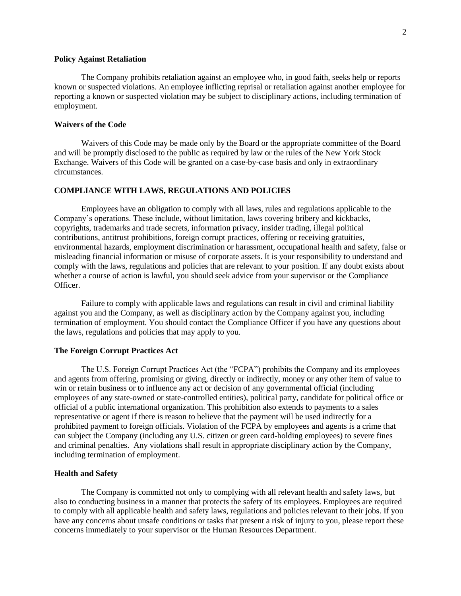#### **Policy Against Retaliation**

The Company prohibits retaliation against an employee who, in good faith, seeks help or reports known or suspected violations. An employee inflicting reprisal or retaliation against another employee for reporting a known or suspected violation may be subject to disciplinary actions, including termination of employment.

## **Waivers of the Code**

Waivers of this Code may be made only by the Board or the appropriate committee of the Board and will be promptly disclosed to the public as required by law or the rules of the New York Stock Exchange. Waivers of this Code will be granted on a case-by-case basis and only in extraordinary circumstances.

# **COMPLIANCE WITH LAWS, REGULATIONS AND POLICIES**

Employees have an obligation to comply with all laws, rules and regulations applicable to the Company's operations. These include, without limitation, laws covering bribery and kickbacks, copyrights, trademarks and trade secrets, information privacy, insider trading, illegal political contributions, antitrust prohibitions, foreign corrupt practices, offering or receiving gratuities, environmental hazards, employment discrimination or harassment, occupational health and safety, false or misleading financial information or misuse of corporate assets. It is your responsibility to understand and comply with the laws, regulations and policies that are relevant to your position. If any doubt exists about whether a course of action is lawful, you should seek advice from your supervisor or the Compliance Officer.

Failure to comply with applicable laws and regulations can result in civil and criminal liability against you and the Company, as well as disciplinary action by the Company against you, including termination of employment. You should contact the Compliance Officer if you have any questions about the laws, regulations and policies that may apply to you.

#### **The Foreign Corrupt Practices Act**

The U.S. Foreign Corrupt Practices Act (the "FCPA") prohibits the Company and its employees and agents from offering, promising or giving, directly or indirectly, money or any other item of value to win or retain business or to influence any act or decision of any governmental official (including employees of any state-owned or state-controlled entities), political party, candidate for political office or official of a public international organization. This prohibition also extends to payments to a sales representative or agent if there is reason to believe that the payment will be used indirectly for a prohibited payment to foreign officials. Violation of the FCPA by employees and agents is a crime that can subject the Company (including any U.S. citizen or green card-holding employees) to severe fines and criminal penalties. Any violations shall result in appropriate disciplinary action by the Company, including termination of employment.

#### **Health and Safety**

The Company is committed not only to complying with all relevant health and safety laws, but also to conducting business in a manner that protects the safety of its employees. Employees are required to comply with all applicable health and safety laws, regulations and policies relevant to their jobs. If you have any concerns about unsafe conditions or tasks that present a risk of injury to you, please report these concerns immediately to your supervisor or the Human Resources Department.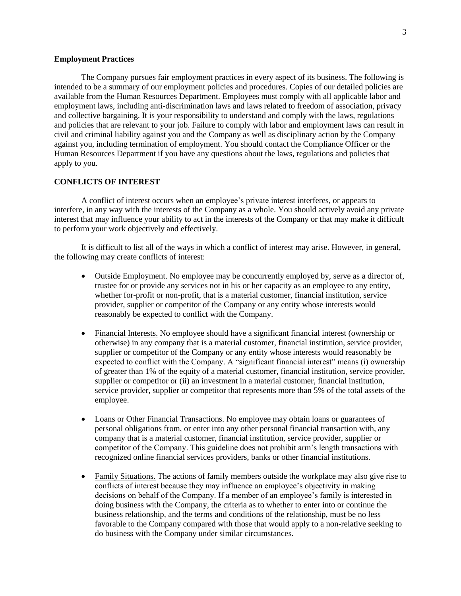#### **Employment Practices**

The Company pursues fair employment practices in every aspect of its business. The following is intended to be a summary of our employment policies and procedures. Copies of our detailed policies are available from the Human Resources Department. Employees must comply with all applicable labor and employment laws, including anti-discrimination laws and laws related to freedom of association, privacy and collective bargaining. It is your responsibility to understand and comply with the laws, regulations and policies that are relevant to your job. Failure to comply with labor and employment laws can result in civil and criminal liability against you and the Company as well as disciplinary action by the Company against you, including termination of employment. You should contact the Compliance Officer or the Human Resources Department if you have any questions about the laws, regulations and policies that apply to you.

## **CONFLICTS OF INTEREST**

A conflict of interest occurs when an employee's private interest interferes, or appears to interfere, in any way with the interests of the Company as a whole. You should actively avoid any private interest that may influence your ability to act in the interests of the Company or that may make it difficult to perform your work objectively and effectively.

It is difficult to list all of the ways in which a conflict of interest may arise. However, in general, the following may create conflicts of interest:

- Outside Employment. No employee may be concurrently employed by, serve as a director of, trustee for or provide any services not in his or her capacity as an employee to any entity, whether for profit or non-profit, that is a material customer, financial institution, service provider, supplier or competitor of the Company or any entity whose interests would reasonably be expected to conflict with the Company.
- Financial Interests. No employee should have a significant financial interest (ownership or otherwise) in any company that is a material customer, financial institution, service provider, supplier or competitor of the Company or any entity whose interests would reasonably be expected to conflict with the Company. A "significant financial interest" means (i) ownership of greater than 1% of the equity of a material customer, financial institution, service provider, supplier or competitor or (ii) an investment in a material customer, financial institution, service provider, supplier or competitor that represents more than 5% of the total assets of the employee.
- Loans or Other Financial Transactions. No employee may obtain loans or guarantees of personal obligations from, or enter into any other personal financial transaction with, any company that is a material customer, financial institution, service provider, supplier or competitor of the Company. This guideline does not prohibit arm's length transactions with recognized online financial services providers, banks or other financial institutions.
- Family Situations. The actions of family members outside the workplace may also give rise to conflicts of interest because they may influence an employee's objectivity in making decisions on behalf of the Company. If a member of an employee's family is interested in doing business with the Company, the criteria as to whether to enter into or continue the business relationship, and the terms and conditions of the relationship, must be no less favorable to the Company compared with those that would apply to a non-relative seeking to do business with the Company under similar circumstances.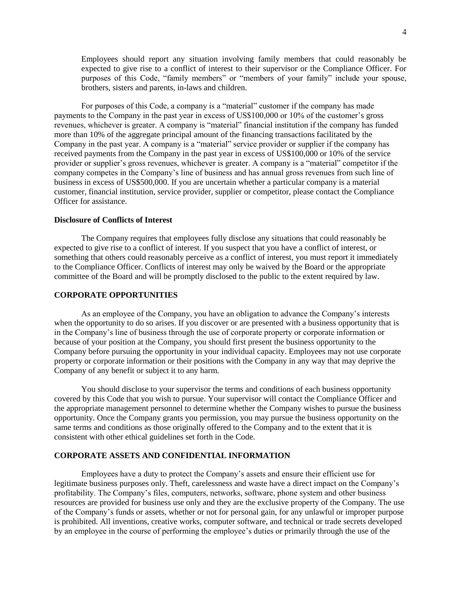Employees should report any situation involving family members that could reasonably be expected to give rise to a conflict of interest to their supervisor or the Compliance Officer. For purposes of this Code, "family members" or "members of your family" include your spouse, brothers, sisters and parents, in-laws and children.

For purposes of this Code, a company is a "material" customer if the company has made payments to the Company in the past year in excess of US\$100,000 or 10% of the customer's gross revenues, whichever is greater. A company is "material" financial institution if the company has funded more than 10% of the aggregate principal amount of the financing transactions facilitated by the Company in the past year. A company is a "material" service provider or supplier if the company has received payments from the Company in the past year in excess of US\$100,000 or 10% of the service provider or supplier's gross revenues, whichever is greater. A company is a "material" competitor if the company competes in the Company's line of business and has annual gross revenues from such line of business in excess of US\$500,000. If you are uncertain whether a particular company is a material customer, financial institution, service provider, supplier or competitor, please contact the Compliance Officer for assistance.

#### **Disclosure of Conflicts of Interest**

The Company requires that employees fully disclose any situations that could reasonably be expected to give rise to a conflict of interest. If you suspect that you have a conflict of interest, or something that others could reasonably perceive as a conflict of interest, you must report it immediately to the Compliance Officer. Conflicts of interest may only be waived by the Board or the appropriate committee of the Board and will be promptly disclosed to the public to the extent required by law.

### **CORPORATE OPPORTUNITIES**

As an employee of the Company, you have an obligation to advance the Company's interests when the opportunity to do so arises. If you discover or are presented with a business opportunity that is in the Company's line of business through the use of corporate property or corporate information or because of your position at the Company, you should first present the business opportunity to the Company before pursuing the opportunity in your individual capacity. Employees may not use corporate property or corporate information or their positions with the Company in any way that may deprive the Company of any benefit or subject it to any harm.

You should disclose to your supervisor the terms and conditions of each business opportunity covered by this Code that you wish to pursue. Your supervisor will contact the Compliance Officer and the appropriate management personnel to determine whether the Company wishes to pursue the business opportunity. Once the Company grants you permission, you may pursue the business opportunity on the same terms and conditions as those originally offered to the Company and to the extent that it is consistent with other ethical guidelines set forth in the Code.

### **CORPORATE ASSETS AND CONFIDENTIAL INFORMATION**

Employees have a duty to protect the Company's assets and ensure their efficient use for legitimate business purposes only. Theft, carelessness and waste have a direct impact on the Company's profitability. The Company's files, computers, networks, software, phone system and other business resources are provided for business use only and they are the exclusive property of the Company. The use of the Company's funds or assets, whether or not for personal gain, for any unlawful or improper purpose is prohibited. All inventions, creative works, computer software, and technical or trade secrets developed by an employee in the course of performing the employee's duties or primarily through the use of the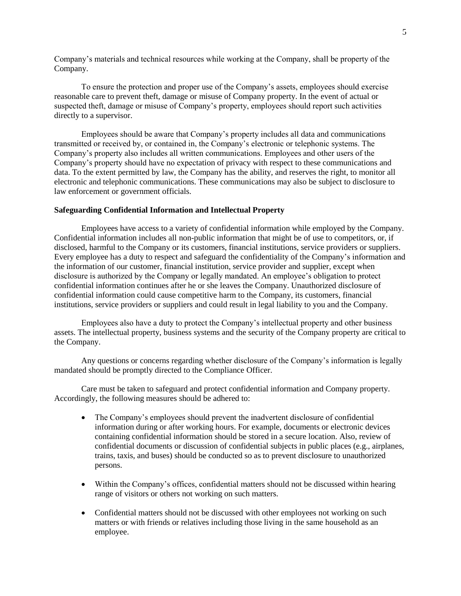Company's materials and technical resources while working at the Company, shall be property of the Company.

To ensure the protection and proper use of the Company's assets, employees should exercise reasonable care to prevent theft, damage or misuse of Company property. In the event of actual or suspected theft, damage or misuse of Company's property, employees should report such activities directly to a supervisor.

Employees should be aware that Company's property includes all data and communications transmitted or received by, or contained in, the Company's electronic or telephonic systems. The Company's property also includes all written communications. Employees and other users of the Company's property should have no expectation of privacy with respect to these communications and data. To the extent permitted by law, the Company has the ability, and reserves the right, to monitor all electronic and telephonic communications. These communications may also be subject to disclosure to law enforcement or government officials.

#### **Safeguarding Confidential Information and Intellectual Property**

Employees have access to a variety of confidential information while employed by the Company. Confidential information includes all non-public information that might be of use to competitors, or, if disclosed, harmful to the Company or its customers, financial institutions, service providers or suppliers. Every employee has a duty to respect and safeguard the confidentiality of the Company's information and the information of our customer, financial institution, service provider and supplier, except when disclosure is authorized by the Company or legally mandated. An employee's obligation to protect confidential information continues after he or she leaves the Company. Unauthorized disclosure of confidential information could cause competitive harm to the Company, its customers, financial institutions, service providers or suppliers and could result in legal liability to you and the Company.

Employees also have a duty to protect the Company's intellectual property and other business assets. The intellectual property, business systems and the security of the Company property are critical to the Company.

Any questions or concerns regarding whether disclosure of the Company's information is legally mandated should be promptly directed to the Compliance Officer.

Care must be taken to safeguard and protect confidential information and Company property. Accordingly, the following measures should be adhered to:

- The Company's employees should prevent the inadvertent disclosure of confidential information during or after working hours. For example, documents or electronic devices containing confidential information should be stored in a secure location. Also, review of confidential documents or discussion of confidential subjects in public places (e.g., airplanes, trains, taxis, and buses) should be conducted so as to prevent disclosure to unauthorized persons.
- Within the Company's offices, confidential matters should not be discussed within hearing range of visitors or others not working on such matters.
- Confidential matters should not be discussed with other employees not working on such matters or with friends or relatives including those living in the same household as an employee.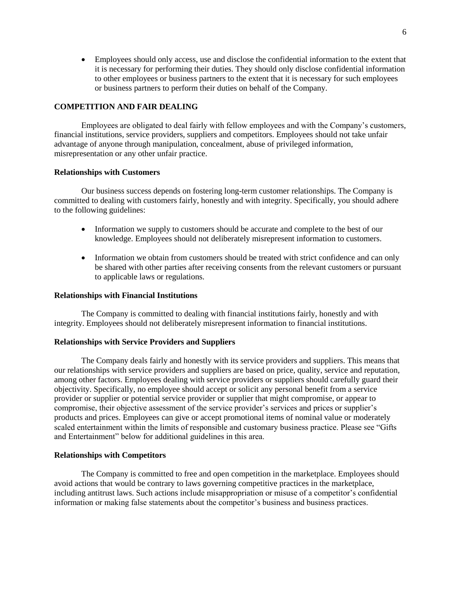Employees should only access, use and disclose the confidential information to the extent that it is necessary for performing their duties. They should only disclose confidential information to other employees or business partners to the extent that it is necessary for such employees or business partners to perform their duties on behalf of the Company.

## **COMPETITION AND FAIR DEALING**

Employees are obligated to deal fairly with fellow employees and with the Company's customers, financial institutions, service providers, suppliers and competitors. Employees should not take unfair advantage of anyone through manipulation, concealment, abuse of privileged information, misrepresentation or any other unfair practice.

#### **Relationships with Customers**

Our business success depends on fostering long-term customer relationships. The Company is committed to dealing with customers fairly, honestly and with integrity. Specifically, you should adhere to the following guidelines:

- Information we supply to customers should be accurate and complete to the best of our knowledge. Employees should not deliberately misrepresent information to customers.
- Information we obtain from customers should be treated with strict confidence and can only be shared with other parties after receiving consents from the relevant customers or pursuant to applicable laws or regulations.

#### **Relationships with Financial Institutions**

The Company is committed to dealing with financial institutions fairly, honestly and with integrity. Employees should not deliberately misrepresent information to financial institutions.

#### **Relationships with Service Providers and Suppliers**

The Company deals fairly and honestly with its service providers and suppliers. This means that our relationships with service providers and suppliers are based on price, quality, service and reputation, among other factors. Employees dealing with service providers or suppliers should carefully guard their objectivity. Specifically, no employee should accept or solicit any personal benefit from a service provider or supplier or potential service provider or supplier that might compromise, or appear to compromise, their objective assessment of the service provider's services and prices or supplier's products and prices. Employees can give or accept promotional items of nominal value or moderately scaled entertainment within the limits of responsible and customary business practice. Please see "Gifts and Entertainment" below for additional guidelines in this area.

#### **Relationships with Competitors**

The Company is committed to free and open competition in the marketplace. Employees should avoid actions that would be contrary to laws governing competitive practices in the marketplace, including antitrust laws. Such actions include misappropriation or misuse of a competitor's confidential information or making false statements about the competitor's business and business practices.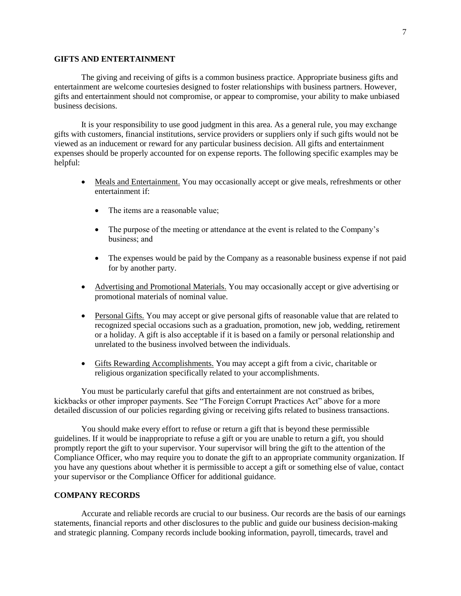### **GIFTS AND ENTERTAINMENT**

The giving and receiving of gifts is a common business practice. Appropriate business gifts and entertainment are welcome courtesies designed to foster relationships with business partners. However, gifts and entertainment should not compromise, or appear to compromise, your ability to make unbiased business decisions.

It is your responsibility to use good judgment in this area. As a general rule, you may exchange gifts with customers, financial institutions, service providers or suppliers only if such gifts would not be viewed as an inducement or reward for any particular business decision. All gifts and entertainment expenses should be properly accounted for on expense reports. The following specific examples may be helpful:

- Meals and Entertainment. You may occasionally accept or give meals, refreshments or other entertainment if:
	- The items are a reasonable value;
	- The purpose of the meeting or attendance at the event is related to the Company's business; and
	- The expenses would be paid by the Company as a reasonable business expense if not paid for by another party.
- Advertising and Promotional Materials. You may occasionally accept or give advertising or promotional materials of nominal value.
- Personal Gifts. You may accept or give personal gifts of reasonable value that are related to recognized special occasions such as a graduation, promotion, new job, wedding, retirement or a holiday. A gift is also acceptable if it is based on a family or personal relationship and unrelated to the business involved between the individuals.
- Gifts Rewarding Accomplishments. You may accept a gift from a civic, charitable or religious organization specifically related to your accomplishments.

You must be particularly careful that gifts and entertainment are not construed as bribes, kickbacks or other improper payments. See "The Foreign Corrupt Practices Act" above for a more detailed discussion of our policies regarding giving or receiving gifts related to business transactions.

You should make every effort to refuse or return a gift that is beyond these permissible guidelines. If it would be inappropriate to refuse a gift or you are unable to return a gift, you should promptly report the gift to your supervisor. Your supervisor will bring the gift to the attention of the Compliance Officer, who may require you to donate the gift to an appropriate community organization. If you have any questions about whether it is permissible to accept a gift or something else of value, contact your supervisor or the Compliance Officer for additional guidance.

### **COMPANY RECORDS**

Accurate and reliable records are crucial to our business. Our records are the basis of our earnings statements, financial reports and other disclosures to the public and guide our business decision-making and strategic planning. Company records include booking information, payroll, timecards, travel and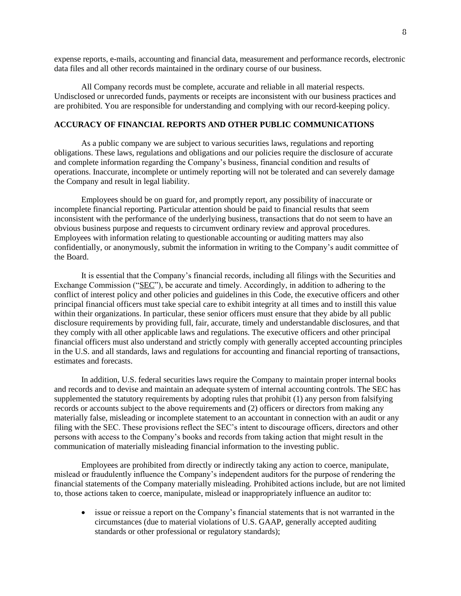expense reports, e-mails, accounting and financial data, measurement and performance records, electronic data files and all other records maintained in the ordinary course of our business.

All Company records must be complete, accurate and reliable in all material respects. Undisclosed or unrecorded funds, payments or receipts are inconsistent with our business practices and are prohibited. You are responsible for understanding and complying with our record-keeping policy.

# **ACCURACY OF FINANCIAL REPORTS AND OTHER PUBLIC COMMUNICATIONS**

As a public company we are subject to various securities laws, regulations and reporting obligations. These laws, regulations and obligations and our policies require the disclosure of accurate and complete information regarding the Company's business, financial condition and results of operations. Inaccurate, incomplete or untimely reporting will not be tolerated and can severely damage the Company and result in legal liability.

Employees should be on guard for, and promptly report, any possibility of inaccurate or incomplete financial reporting. Particular attention should be paid to financial results that seem inconsistent with the performance of the underlying business, transactions that do not seem to have an obvious business purpose and requests to circumvent ordinary review and approval procedures. Employees with information relating to questionable accounting or auditing matters may also confidentially, or anonymously, submit the information in writing to the Company's audit committee of the Board.

It is essential that the Company's financial records, including all filings with the Securities and Exchange Commission ("SEC"), be accurate and timely. Accordingly, in addition to adhering to the conflict of interest policy and other policies and guidelines in this Code, the executive officers and other principal financial officers must take special care to exhibit integrity at all times and to instill this value within their organizations. In particular, these senior officers must ensure that they abide by all public disclosure requirements by providing full, fair, accurate, timely and understandable disclosures, and that they comply with all other applicable laws and regulations. The executive officers and other principal financial officers must also understand and strictly comply with generally accepted accounting principles in the U.S. and all standards, laws and regulations for accounting and financial reporting of transactions, estimates and forecasts.

In addition, U.S. federal securities laws require the Company to maintain proper internal books and records and to devise and maintain an adequate system of internal accounting controls. The SEC has supplemented the statutory requirements by adopting rules that prohibit (1) any person from falsifying records or accounts subject to the above requirements and (2) officers or directors from making any materially false, misleading or incomplete statement to an accountant in connection with an audit or any filing with the SEC. These provisions reflect the SEC's intent to discourage officers, directors and other persons with access to the Company's books and records from taking action that might result in the communication of materially misleading financial information to the investing public.

Employees are prohibited from directly or indirectly taking any action to coerce, manipulate, mislead or fraudulently influence the Company's independent auditors for the purpose of rendering the financial statements of the Company materially misleading. Prohibited actions include, but are not limited to, those actions taken to coerce, manipulate, mislead or inappropriately influence an auditor to:

 issue or reissue a report on the Company's financial statements that is not warranted in the circumstances (due to material violations of U.S. GAAP, generally accepted auditing standards or other professional or regulatory standards);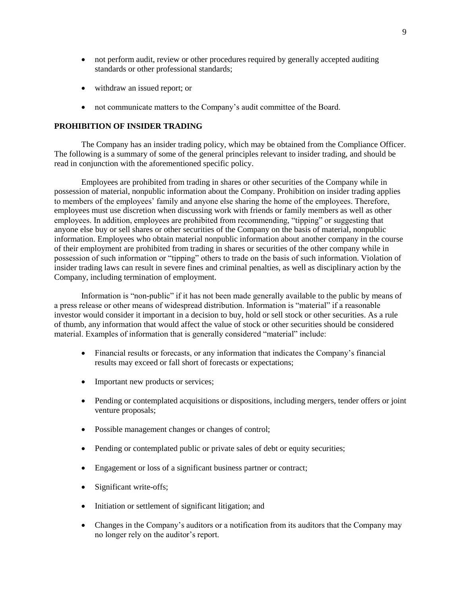- not perform audit, review or other procedures required by generally accepted auditing standards or other professional standards;
- withdraw an issued report; or
- not communicate matters to the Company's audit committee of the Board.

## **PROHIBITION OF INSIDER TRADING**

The Company has an insider trading policy, which may be obtained from the Compliance Officer. The following is a summary of some of the general principles relevant to insider trading, and should be read in conjunction with the aforementioned specific policy.

Employees are prohibited from trading in shares or other securities of the Company while in possession of material, nonpublic information about the Company. Prohibition on insider trading applies to members of the employees' family and anyone else sharing the home of the employees. Therefore, employees must use discretion when discussing work with friends or family members as well as other employees. In addition, employees are prohibited from recommending, "tipping" or suggesting that anyone else buy or sell shares or other securities of the Company on the basis of material, nonpublic information. Employees who obtain material nonpublic information about another company in the course of their employment are prohibited from trading in shares or securities of the other company while in possession of such information or "tipping" others to trade on the basis of such information. Violation of insider trading laws can result in severe fines and criminal penalties, as well as disciplinary action by the Company, including termination of employment.

Information is "non-public" if it has not been made generally available to the public by means of a press release or other means of widespread distribution. Information is "material" if a reasonable investor would consider it important in a decision to buy, hold or sell stock or other securities. As a rule of thumb, any information that would affect the value of stock or other securities should be considered material. Examples of information that is generally considered "material" include:

- Financial results or forecasts, or any information that indicates the Company's financial results may exceed or fall short of forecasts or expectations;
- Important new products or services;
- Pending or contemplated acquisitions or dispositions, including mergers, tender offers or joint venture proposals;
- Possible management changes or changes of control;
- Pending or contemplated public or private sales of debt or equity securities;
- Engagement or loss of a significant business partner or contract;
- Significant write-offs;
- Initiation or settlement of significant litigation; and
- Changes in the Company's auditors or a notification from its auditors that the Company may no longer rely on the auditor's report.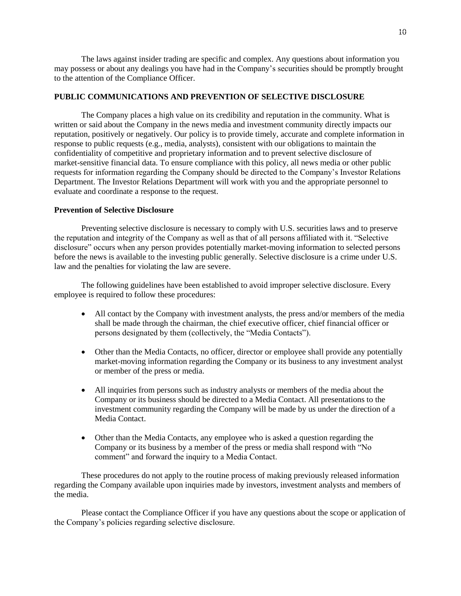The laws against insider trading are specific and complex. Any questions about information you may possess or about any dealings you have had in the Company's securities should be promptly brought to the attention of the Compliance Officer.

### **PUBLIC COMMUNICATIONS AND PREVENTION OF SELECTIVE DISCLOSURE**

The Company places a high value on its credibility and reputation in the community. What is written or said about the Company in the news media and investment community directly impacts our reputation, positively or negatively. Our policy is to provide timely, accurate and complete information in response to public requests (e.g., media, analysts), consistent with our obligations to maintain the confidentiality of competitive and proprietary information and to prevent selective disclosure of market-sensitive financial data. To ensure compliance with this policy, all news media or other public requests for information regarding the Company should be directed to the Company's Investor Relations Department. The Investor Relations Department will work with you and the appropriate personnel to evaluate and coordinate a response to the request.

## **Prevention of Selective Disclosure**

Preventing selective disclosure is necessary to comply with U.S. securities laws and to preserve the reputation and integrity of the Company as well as that of all persons affiliated with it. "Selective disclosure" occurs when any person provides potentially market moving information to selected persons before the news is available to the investing public generally. Selective disclosure is a crime under U.S. law and the penalties for violating the law are severe.

The following guidelines have been established to avoid improper selective disclosure. Every employee is required to follow these procedures:

- All contact by the Company with investment analysts, the press and/or members of the media shall be made through the chairman, the chief executive officer, chief financial officer or persons designated by them (collectively, the "Media Contacts").
- Other than the Media Contacts, no officer, director or employee shall provide any potentially market moving information regarding the Company or its business to any investment analyst or member of the press or media.
- All inquiries from persons such as industry analysts or members of the media about the Company or its business should be directed to a Media Contact. All presentations to the investment community regarding the Company will be made by us under the direction of a Media Contact.
- Other than the Media Contacts, any employee who is asked a question regarding the Company or its business by a member of the press or media shall respond with "No comment" and forward the inquiry to a Media Contact.

These procedures do not apply to the routine process of making previously released information regarding the Company available upon inquiries made by investors, investment analysts and members of the media.

Please contact the Compliance Officer if you have any questions about the scope or application of the Company's policies regarding selective disclosure.